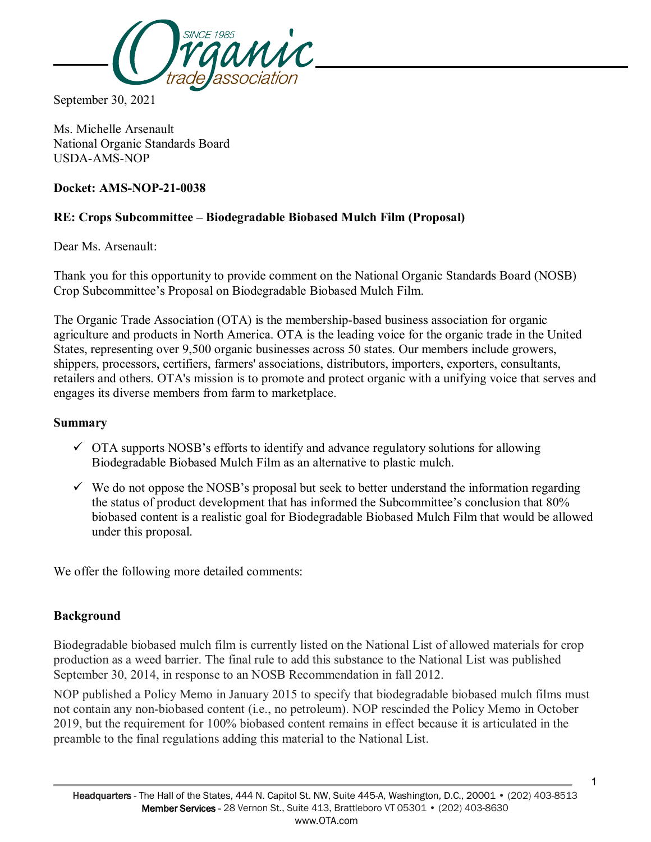

September 30, 2021

Ms. Michelle Arsenault National Organic Standards Board USDA-AMS-NOP

#### **Docket: AMS-NOP-21-0038**

## **RE: Crops Subcommittee – Biodegradable Biobased Mulch Film (Proposal)**

Dear Ms. Arsenault:

Thank you for this opportunity to provide comment on the National Organic Standards Board (NOSB) Crop Subcommittee's Proposal on Biodegradable Biobased Mulch Film.

The Organic Trade Association (OTA) is the membership-based business association for organic agriculture and products in North America. OTA is the leading voice for the organic trade in the United States, representing over 9,500 organic businesses across 50 states. Our members include growers, shippers, processors, certifiers, farmers' associations, distributors, importers, exporters, consultants, retailers and others. OTA's mission is to promote and protect organic with a unifying voice that serves and engages its diverse members from farm to marketplace.

#### **Summary**

- $\checkmark$  OTA supports NOSB's efforts to identify and advance regulatory solutions for allowing Biodegradable Biobased Mulch Film as an alternative to plastic mulch.
- $\checkmark$  We do not oppose the NOSB's proposal but seek to better understand the information regarding the status of product development that has informed the Subcommittee's conclusion that 80% biobased content is a realistic goal for Biodegradable Biobased Mulch Film that would be allowed under this proposal.

We offer the following more detailed comments:

#### **Background**

Biodegradable biobased mulch film is currently listed on the National List of allowed materials for crop production as a weed barrier. The final rule to add this substance to the National List was published September 30, 2014, in response to an NOSB Recommendation in fall 2012.

NOP published a Policy Memo in January 2015 to specify that biodegradable biobased mulch films must not contain any non-biobased content (i.e., no petroleum). NOP rescinded the Policy Memo in October 2019, but the requirement for 100% biobased content remains in effect because it is articulated in the preamble to the final regulations adding this material to the National List.

1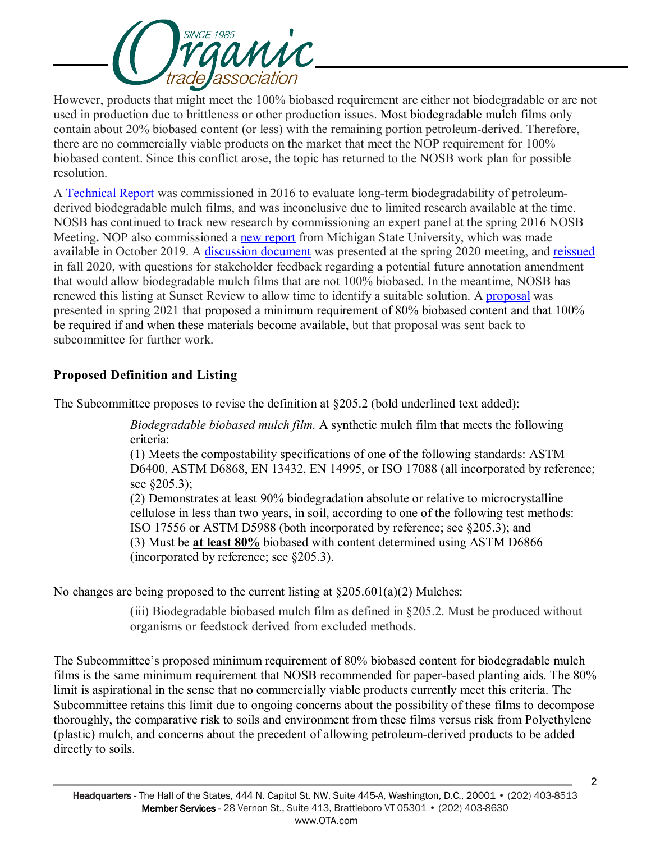

However, products that might meet the 100% biobased requirement are either not biodegradable or are not used in production due to brittleness or other production issues. Most biodegradable mulch films only contain about 20% biobased content (or less) with the remaining portion petroleum-derived. Therefore, there are no commercially viable products on the market that meet the NOP requirement for 100% biobased content. Since this conflict arose, the topic has returned to the NOSB work plan for possible resolution.

A [Technical Report](https://www.ams.usda.gov/sites/default/files/media/BiodegradableBiobasedMulchFilmTRCrops.pdf) was commissioned in 2016 to evaluate long-term biodegradability of petroleumderived biodegradable mulch films, and was inconclusive due to limited research available at the time. NOSB has continued to track new research by commissioning an expert panel at the spring 2016 NOSB Meeting**.** NOP also commissioned a [new report](https://www.ams.usda.gov/sites/default/files/media/2019MemoBiobasedMulchReport.pdf) from Michigan State University, which was made available in October 2019. A [discussion document](https://www.ams.usda.gov/sites/default/files/media/CSBiodegradBiobasedMulchApril2020.pdf) was presented at the spring 2020 meeting, and [reissued](https://www.ams.usda.gov/sites/default/files/media/CSBiodegradableBiobasedMulchFilm.pdf) in fall 2020, with questions for stakeholder feedback regarding a potential future annotation amendment that would allow biodegradable mulch films that are not 100% biobased. In the meantime, NOSB has renewed this listing at Sunset Review to allow time to identify a suitable solution. A [proposal](https://www.ams.usda.gov/sites/default/files/media/CSBiodegradableBiobasedMulchFilm_0.pdf) was presented in spring 2021 that proposed a minimum requirement of 80% biobased content and that 100% be required if and when these materials become available, but that proposal was sent back to subcommittee for further work.

# **Proposed Definition and Listing**

The Subcommittee proposes to revise the definition at  $\S205.2$  (bold underlined text added):

*Biodegradable biobased mulch film.* A synthetic mulch film that meets the following criteria:

(1) Meets the compostability specifications of one of the following standards: ASTM D6400, ASTM D6868, EN 13432, EN 14995, or ISO 17088 (all incorporated by reference; see §205.3);

(2) Demonstrates at least 90% biodegradation absolute or relative to microcrystalline cellulose in less than two years, in soil, according to one of the following test methods: ISO 17556 or ASTM D5988 (both incorporated by reference; see §205.3); and (3) Must be **at least 80%** biobased with content determined using ASTM D6866 (incorporated by reference; see §205.3).

No changes are being proposed to the current listing at  $\S205.601(a)(2)$  Mulches:

(iii) Biodegradable biobased mulch film as defined in §205.2. Must be produced without organisms or feedstock derived from excluded methods.

The Subcommittee's proposed minimum requirement of 80% biobased content for biodegradable mulch films is the same minimum requirement that NOSB recommended for paper-based planting aids. The 80% limit is aspirational in the sense that no commercially viable products currently meet this criteria. The Subcommittee retains this limit due to ongoing concerns about the possibility of these films to decompose thoroughly, the comparative risk to soils and environment from these films versus risk from Polyethylene (plastic) mulch, and concerns about the precedent of allowing petroleum-derived products to be added directly to soils.